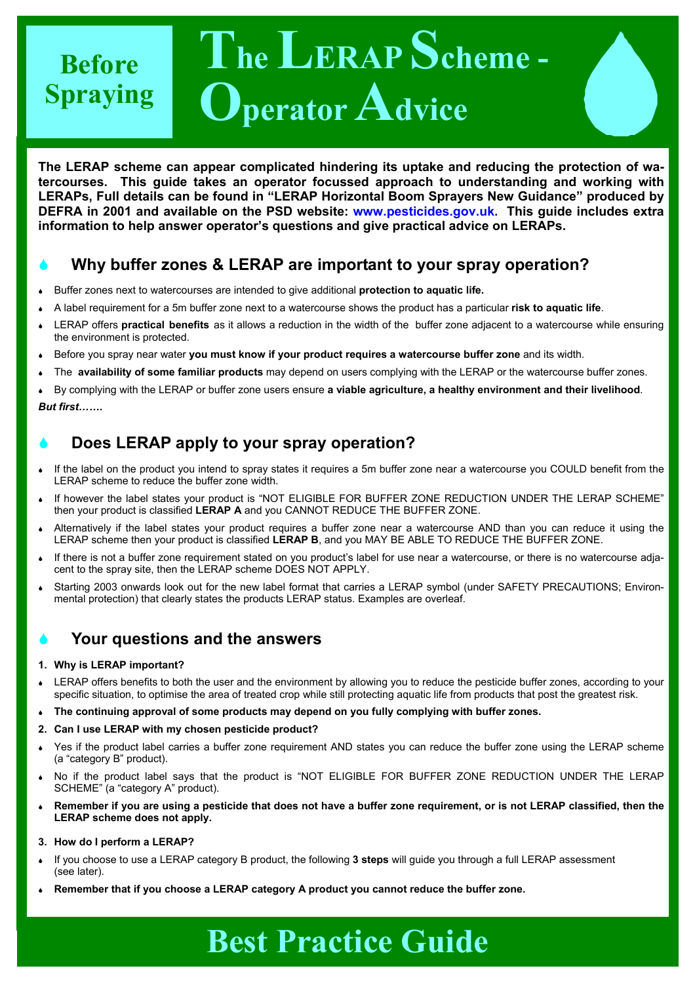### **The LERAP Scheme - Operator Advice Before Spraying**

**The LERAP scheme can appear complicated hindering its uptake and reducing the protection of watercourses. This guide takes an operator focussed approach to understanding and working with LERAPs, Full details can be found in "LERAP Horizontal Boom Sprayers New Guidance" produced by DEFRA in 2001 and available on the PSD website: www.pesticides.gov.uk. This guide includes extra information to help answer operator's questions and give practical advice on LERAPs.** 

### 6 **Why buffer zones & LERAP are important to your spray operation?**

- <sup>6</sup>Buffer zones next to watercourses are intended to give additional **protection to aquatic life.**
- <sup>6</sup>A label requirement for a 5m buffer zone next to a watercourse shows the product has a particular **risk to aquatic life**.
- <sup>6</sup>LERAP offers **practical benefits** as it allows a reduction in the width of the buffer zone adjacent to a watercourse while ensuring the environment is protected.
- <sup>6</sup>Before you spray near water **you must know if your product requires a watercourse buffer zone** and its width.
- <sup>6</sup>The **availability of some familiar products** may depend on users complying with the LERAP or the watercourse buffer zones.

<sup>6</sup>By complying with the LERAP or buffer zone users ensure **a viable agriculture, a healthy environment and their livelihood**.

#### *But first…….*

### 6 **Does LERAP apply to your spray operation?**

- If the label on the product you intend to spray states it requires a 5m buffer zone near a watercourse you COULD benefit from the LERAP scheme to reduce the buffer zone width.
- If however the label states your product is "NOT ELIGIBLE FOR BUFFER ZONE REDUCTION UNDER THE LERAP SCHEME" then your product is classified **LERAP A** and you CANNOT REDUCE THE BUFFER ZONE.
- Alternatively if the label states your product requires a buffer zone near a watercourse AND than you can reduce it using the LERAP scheme then your product is classified **LERAP B**, and you MAY BE ABLE TO REDUCE THE BUFFER ZONE.
- If there is not a buffer zone requirement stated on you product's label for use near a watercourse, or there is no watercourse adjacent to the spray site, then the LERAP scheme DOES NOT APPLY.
- Starting 2003 onwards look out for the new label format that carries a LERAP symbol (under SAFETY PRECAUTIONS; Environmental protection) that clearly states the products LERAP status. Examples are overleaf.

### 6 **Your questions and the answers**

#### **1. Why is LERAP important?**

- LERAP offers benefits to both the user and the environment by allowing you to reduce the pesticide buffer zones, according to your specific situation, to optimise the area of treated crop while still protecting aquatic life from products that post the greatest risk.
- <sup>6</sup>**The continuing approval of some products may depend on you fully complying with buffer zones.**
- **2. Can I use LERAP with my chosen pesticide product?**
- Yes if the product label carries a buffer zone requirement AND states you can reduce the buffer zone using the LERAP scheme (a "category B" product).
- No if the product label says that the product is "NOT ELIGIBLE FOR BUFFER ZONE REDUCTION UNDER THE LERAP SCHEME" (a "category A" product).
- <sup>6</sup>**Remember if you are using a pesticide that does not have a buffer zone requirement, or is not LERAP classified, then the LERAP scheme does not apply.**
- **3. How do I perform a LERAP?**
- <sup>6</sup>If you choose to use a LERAP category B product, the following **3 steps** will guide you through a full LERAP assessment (see later).
- 6 **Remember that if you choose a LERAP category A product you cannot reduce the buffer zone.**

# **Best Practice Guide**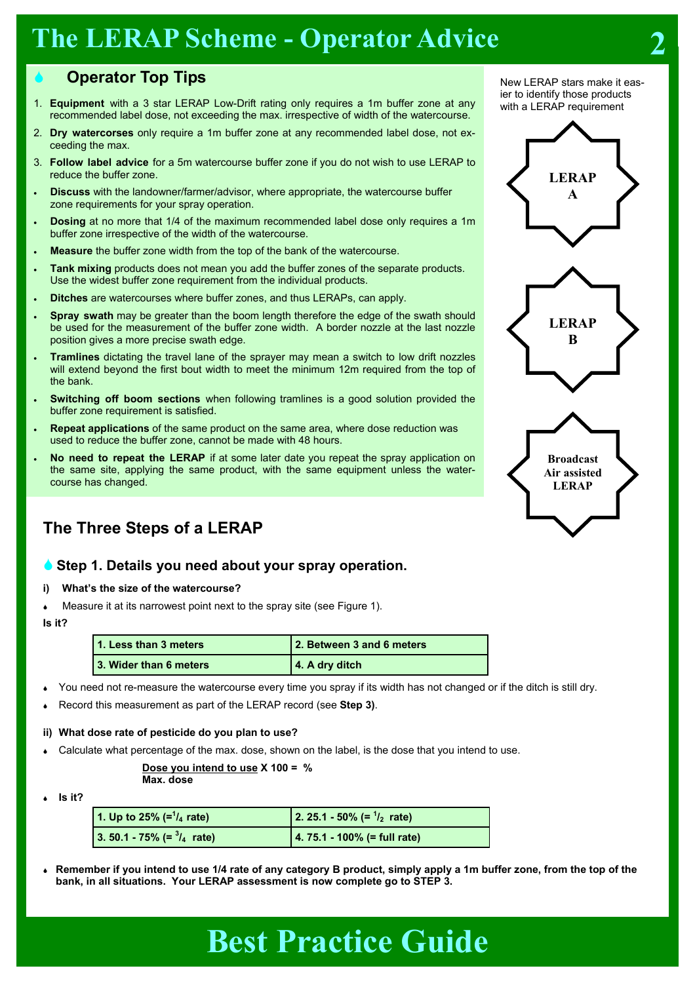### **The LERAP Scheme - Operator Advice** 2

### 6 **Operator Top Tips**

- 1. **Equipment** with a 3 star LERAP Low-Drift rating only requires a 1m buffer zone at any recommended label dose, not exceeding the max. irrespective of width of the watercourse.
- 2. **Dry watercorses** only require a 1m buffer zone at any recommended label dose, not exceeding the max.
- 3. **Follow label advice** for a 5m watercourse buffer zone if you do not wish to use LERAP to reduce the buffer zone.
- **Discuss** with the landowner/farmer/advisor, where appropriate, the watercourse buffer zone requirements for your spray operation.
- **Dosing** at no more that 1/4 of the maximum recommended label dose only requires a 1m buffer zone irrespective of the width of the watercourse.
- **Measure** the buffer zone width from the top of the bank of the watercourse.
- **Tank mixing** products does not mean you add the buffer zones of the separate products. Use the widest buffer zone requirement from the individual products.
- **Ditches** are watercourses where buffer zones, and thus LERAPs, can apply.
- **Spray swath** may be greater than the boom length therefore the edge of the swath should be used for the measurement of the buffer zone width. A border nozzle at the last nozzle position gives a more precise swath edge.
- **Tramlines** dictating the travel lane of the sprayer may mean a switch to low drift nozzles will extend beyond the first bout width to meet the minimum 12m required from the top of the bank.
- **Switching off boom sections** when following tramlines is a good solution provided the buffer zone requirement is satisfied.
- **Repeat applications** of the same product on the same area, where dose reduction was used to reduce the buffer zone, cannot be made with 48 hours.
- **No need to repeat the LERAP** if at some later date you repeat the spray application on the same site, applying the same product, with the same equipment unless the watercourse has changed.

### **The Three Steps of a LERAP**

### 6 **Step 1. Details you need about your spray operation.**

- **i) What's the size of the watercourse?**
- Measure it at its narrowest point next to the spray site (see Figure 1).

#### **Is it?**

| 1. Less than 3 meters   | 2. Between 3 and 6 meters |
|-------------------------|---------------------------|
| 13. Wider than 6 meters | 4. A dry ditch            |

- You need not re-measure the watercourse every time you spray if its width has not changed or if the ditch is still dry.
- <sup>6</sup>Record this measurement as part of the LERAP record (see **Step 3)**.

#### **ii) What dose rate of pesticide do you plan to use?**

Calculate what percentage of the max, dose, shown on the label, is the dose that you intend to use.

### **Dose you intend to use X 100 = %**

 **Max. dose** 

<sup>6</sup>**Is it?**

| 1. Up to 25% $(=1/4$ rate)           | 2. 25.1 - 50% (= $\frac{1}{2}$ rate) |  |  |  |
|--------------------------------------|--------------------------------------|--|--|--|
| 3. 50.1 - 75% (= $\frac{3}{4}$ rate) | $4.75.1 - 100%$ (= full rate)        |  |  |  |

<sup>6</sup>**Remember if you intend to use 1/4 rate of any category B product, simply apply a 1m buffer zone, from the top of the bank, in all situations. Your LERAP assessment is now complete go to STEP 3.**

New LERAP stars make it easier to identify those products with a LERAP requirement



# **Best Practice Guide**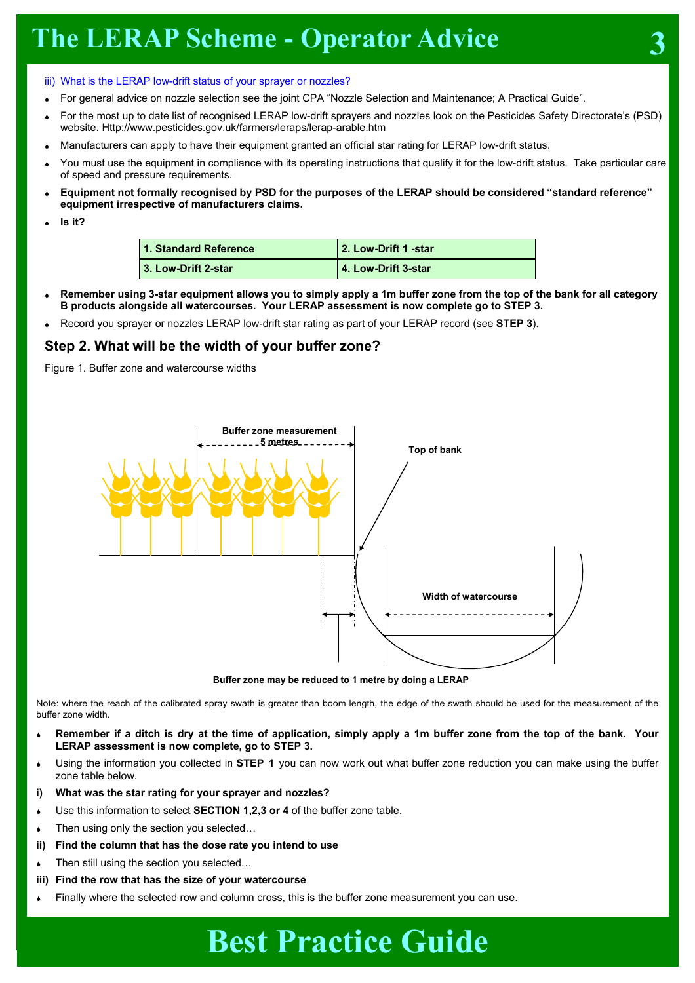### iii) What is the LERAP low-drift status of your sprayer or nozzles?

- For general advice on nozzle selection see the joint CPA "Nozzle Selection and Maintenance; A Practical Guide".
- <sup>6</sup>For the most up to date list of recognised LERAP low-drift sprayers and nozzles look on the Pesticides Safety Directorate's (PSD) website. Http://www.pesticides.gov.uk/farmers/leraps/lerap-arable.htm
- Manufacturers can apply to have their equipment granted an official star rating for LERAP low-drift status.
- You must use the equipment in compliance with its operating instructions that qualify it for the low-drift status. Take particular care of speed and pressure requirements.
- <sup>6</sup>**Equipment not formally recognised by PSD for the purposes of the LERAP should be considered "standard reference" equipment irrespective of manufacturers claims.**
- <sup>6</sup>**Is it?**

| 1. Standard Reference | 2. Low-Drift 1 -star |
|-----------------------|----------------------|
| 3. Low-Drift 2-star   | 4. Low-Drift 3-star  |

- <sup>6</sup>**Remember using 3-star equipment allows you to simply apply a 1m buffer zone from the top of the bank for all category B products alongside all watercourses. Your LERAP assessment is now complete go to STEP 3.**
- <sup>6</sup>Record you sprayer or nozzles LERAP low-drift star rating as part of your LERAP record (see **STEP 3**).

### **Step 2. What will be the width of your buffer zone?**

Figure 1. Buffer zone and watercourse widths



**Buffer zone may be reduced to 1 metre by doing a LERAP** 

Note: where the reach of the calibrated spray swath is greater than boom length, the edge of the swath should be used for the measurement of the buffer zone width.

- <sup>6</sup>**Remember if a ditch is dry at the time of application, simply apply a 1m buffer zone from the top of the bank. Your LERAP assessment is now complete, go to STEP 3.**
- <sup>6</sup>Using the information you collected in **STEP 1** you can now work out what buffer zone reduction you can make using the buffer zone table below.
- **i) What was the star rating for your sprayer and nozzles?**
- Use this information to select **SECTION 1,2,3 or 4** of the buffer zone table.
- Then using only the section you selected...
- **ii) Find the column that has the dose rate you intend to use**
- Then still using the section you selected..
- **iii) Find the row that has the size of your watercourse**
- Finally where the selected row and column cross, this is the buffer zone measurement you can use.

## **Best Practice Guide**